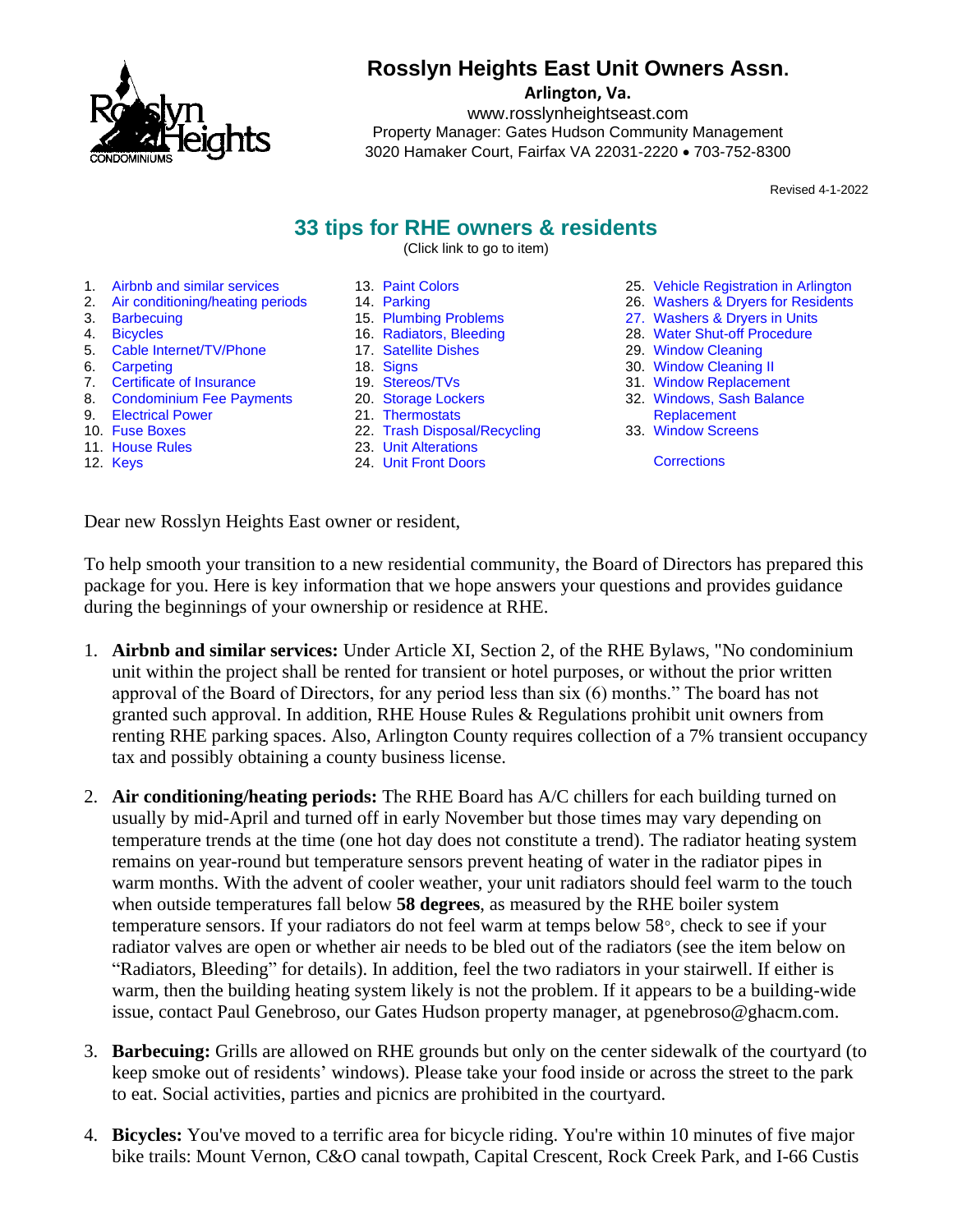

# **Rosslyn Heights East Unit Owners Assn.**

**Arlington, Va.**

www.rosslynheightseast.com Property Manager: Gates Hudson Community Management 3020 Hamaker Court, Fairfax VA 22031-2220 • 703-752-8300

Revised 4-1-2022

## **33 tips for RHE owners & residents**

(Click link to go to item)

<span id="page-0-0"></span>1. [Airbnb and similar services](#page-0-0) 2. [Air conditioning/heating periods](#page-0-1)

5. [Cable Internet/TV/Phone](#page-1-0)

7. [Certificate of Insurance](#page-1-2) 8. [Condominium Fee Payments](#page-1-3)

9. [Electrical Power](#page-2-0) 10. [Fuse Boxes](#page-2-1) 11. [House Rules](#page-2-2) 12. [Keys](#page-2-3)

3. [Barbecuing](#page-0-2) 4. [Bicycles](#page-0-3)

6. [Carpeting](#page-1-1)

- 13. [Paint Colors](#page-2-4)
- 14. [Parking](#page-2-5)
- 15. [Plumbing Problems](#page-2-6)
	- 16. [Radiators, Bleeding](#page-2-7)
	- 17. [Satellite Dishes](#page-3-0)
	- 18. [Signs](#page-3-1)
	- 19. [Stereos/TVs](#page-3-2)
	- 20. [Storage Lockers](#page-3-3) 21. [Thermostats](#page-3-4)
	-
	- 22. [Trash Disposal/Recycling](#page-3-5)
	- 23. [Unit Alterations](#page-4-0) 24. [Unit Front Doors](#page-4-1)
- 25. [Vehicle Registration in Arlington](#page-4-2) 26. [Washers & Dryers for Residents](#page-4-3)
- 
- 27. [Washers & Dryers in Units](#page-4-4) 28. [Water Shut-off Procedure](#page-5-0)
- 29. [Window Cleaning](#page-5-1)
- 30. Window [Cleaning II](#page-5-2)
- 31. [Window Replacement](#page-5-3)
- 32. [Windows, Sash Balance](#page-5-4)  [Replacement](#page-5-4)
- 33. [Window Screens](#page-6-0)

**[Corrections](#page-6-1)** 

Dear new Rosslyn Heights East owner or resident,

To help smooth your transition to a new residential community, the Board of Directors has prepared this package for you. Here is key information that we hope answers your questions and provides guidance during the beginnings of your ownership or residence at RHE.

- 1. **Airbnb and similar services:** Under Article XI, Section 2, of the RHE Bylaws, "No condominium unit within the project shall be rented for transient or hotel purposes, or without the prior written approval of the Board of Directors, for any period less than six (6) months." The board has not granted such approval. In addition, RHE House Rules & Regulations prohibit unit owners from renting RHE parking spaces. Also, Arlington County requires collection of a 7% transient occupancy tax and possibly obtaining a county business license.
- <span id="page-0-1"></span>2. **Air conditioning/heating periods:** The RHE Board has A/C chillers for each building turned on usually by mid-April and turned off in early November but those times may vary depending on temperature trends at the time (one hot day does not constitute a trend). The radiator heating system remains on year-round but temperature sensors prevent heating of water in the radiator pipes in warm months. With the advent of cooler weather, your unit radiators should feel warm to the touch when outside temperatures fall below **58 degrees**, as measured by the RHE boiler system temperature sensors. If your radiators do not feel warm at temps below  $58^{\circ}$ , check to see if your radiator valves are open or whether air needs to be bled out of the radiators (see the item below on "Radiators, Bleeding" for details). In addition, feel the two radiators in your stairwell. If either is warm, then the building heating system likely is not the problem. If it appears to be a building-wide issue, contact Paul Genebroso, our Gates Hudson property manager, at pgenebroso@ghacm.com.
- <span id="page-0-2"></span>3. **Barbecuing:** Grills are allowed on RHE grounds but only on the center sidewalk of the courtyard (to keep smoke out of residents' windows). Please take your food inside or across the street to the park to eat. Social activities, parties and picnics are prohibited in the courtyard.
- <span id="page-0-3"></span>4. **Bicycles:** You've moved to a terrific area for bicycle riding. You're within 10 minutes of five major bike trails: Mount Vernon, C&O canal towpath, Capital Crescent, Rock Creek Park, and I-66 Custis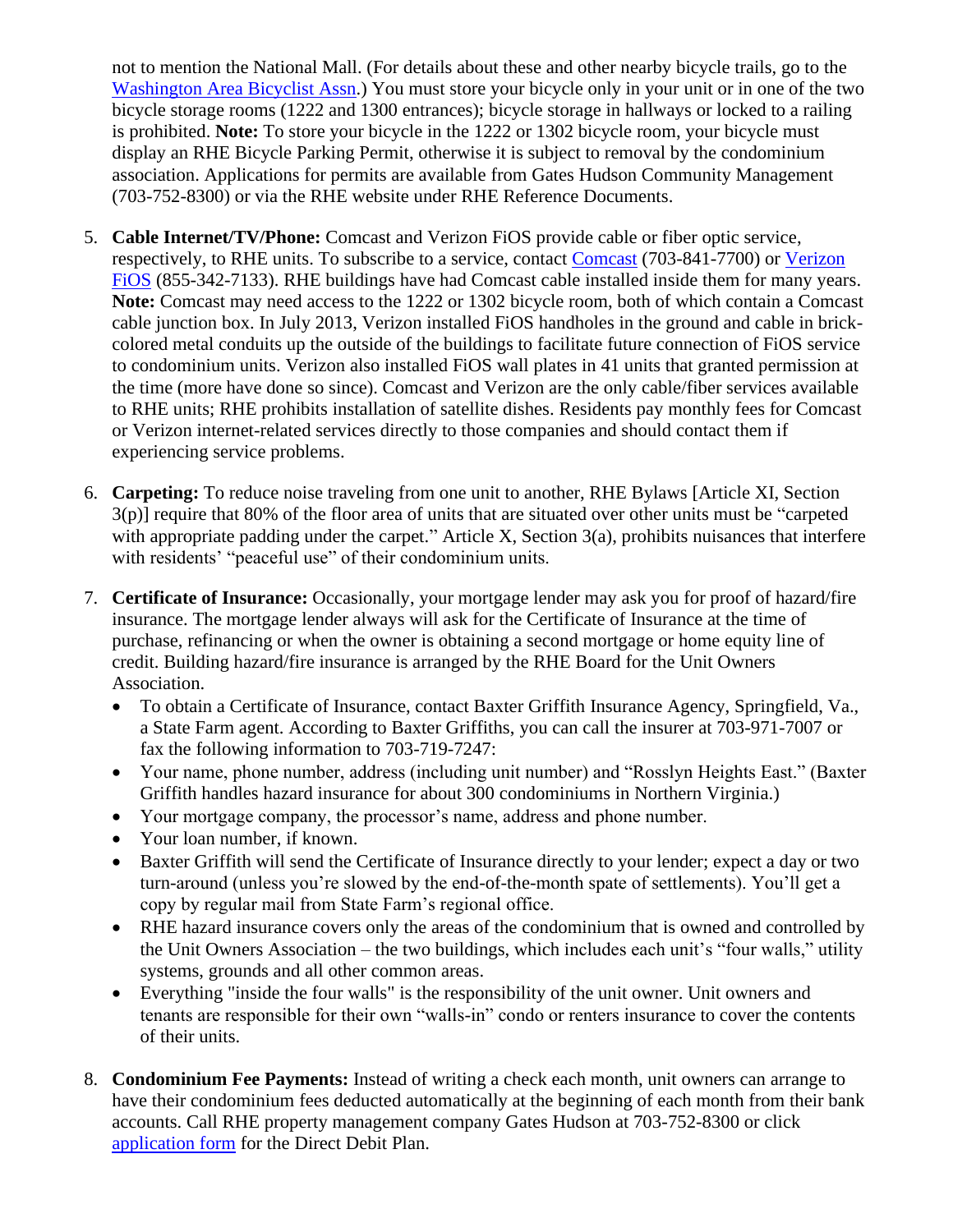not to mention the National Mall. (For details about these and other nearby bicycle trails, go to the [Washington Area Bicyclist Assn.](http://www.waba.org/resources/maps-and-documents/)) You must store your bicycle only in your unit or in one of the two bicycle storage rooms (1222 and 1300 entrances); bicycle storage in hallways or locked to a railing is prohibited. **Note:** To store your bicycle in the 1222 or 1302 bicycle room, your bicycle must display an RHE Bicycle Parking Permit, otherwise it is subject to removal by the condominium association. Applications for permits are available from Gates Hudson Community Management (703-752-8300) or via the RHE website under RHE Reference Documents.

- <span id="page-1-0"></span>5. **Cable Internet/TV/Phone:** Comcast and Verizon FiOS provide cable or fiber optic service, respectively, to RHE units. To subscribe to a service, contact [Comcast](http://www.comcast.com/) (703-841-7700) or [Verizon](https://www.verizon.com/?lid=//global//residential)  [FiOS](https://www.verizon.com/?lid=//global//residential) (855-342-7133). RHE buildings have had Comcast cable installed inside them for many years. **Note:** Comcast may need access to the 1222 or 1302 bicycle room, both of which contain a Comcast cable junction box. In July 2013, Verizon installed FiOS handholes in the ground and cable in brickcolored metal conduits up the outside of the buildings to facilitate future connection of FiOS service to condominium units. Verizon also installed FiOS wall plates in 41 units that granted permission at the time (more have done so since). Comcast and Verizon are the only cable/fiber services available to RHE units; RHE prohibits installation of satellite dishes. Residents pay monthly fees for Comcast or Verizon internet-related services directly to those companies and should contact them if experiencing service problems.
- <span id="page-1-1"></span>6. **Carpeting:** To reduce noise traveling from one unit to another, RHE Bylaws [Article XI, Section 3(p)] require that 80% of the floor area of units that are situated over other units must be "carpeted with appropriate padding under the carpet." Article X, Section 3(a), prohibits nuisances that interfere with residents' "peaceful use" of their condominium units.
- <span id="page-1-2"></span>7. **Certificate of Insurance:** Occasionally, your mortgage lender may ask you for proof of hazard/fire insurance. The mortgage lender always will ask for the Certificate of Insurance at the time of purchase, refinancing or when the owner is obtaining a second mortgage or home equity line of credit. Building hazard/fire insurance is arranged by the RHE Board for the Unit Owners Association.
	- To obtain a Certificate of Insurance, contact Baxter Griffith Insurance Agency, Springfield, Va., a State Farm agent. According to Baxter Griffiths, you can call the insurer at 703-971-7007 or fax the following information to 703-719-7247:
	- Your name, phone number, address (including unit number) and "Rosslyn Heights East." (Baxter Griffith handles hazard insurance for about 300 condominiums in Northern Virginia.)
	- Your mortgage company, the processor's name, address and phone number.
	- Your loan number, if known.
	- Baxter Griffith will send the Certificate of Insurance directly to your lender; expect a day or two turn-around (unless you're slowed by the end-of-the-month spate of settlements). You'll get a copy by regular mail from State Farm's regional office.
	- RHE hazard insurance covers only the areas of the condominium that is owned and controlled by the Unit Owners Association – the two buildings, which includes each unit's "four walls," utility systems, grounds and all other common areas.
	- Everything "inside the four walls" is the responsibility of the unit owner. Unit owners and tenants are responsible for their own "walls-in" condo or renters insurance to cover the contents of their units.
- <span id="page-1-3"></span>8. **Condominium Fee Payments:** Instead of writing a check each month, unit owners can arrange to have their condominium fees deducted automatically at the beginning of each month from their bank accounts. Call RHE property management company Gates Hudson at 703-752-8300 or click [application form](https://gateshudson.com/wp-content/uploads/ACH-Direct-Debit-Form_20170925.pdf) for the Direct Debit Plan.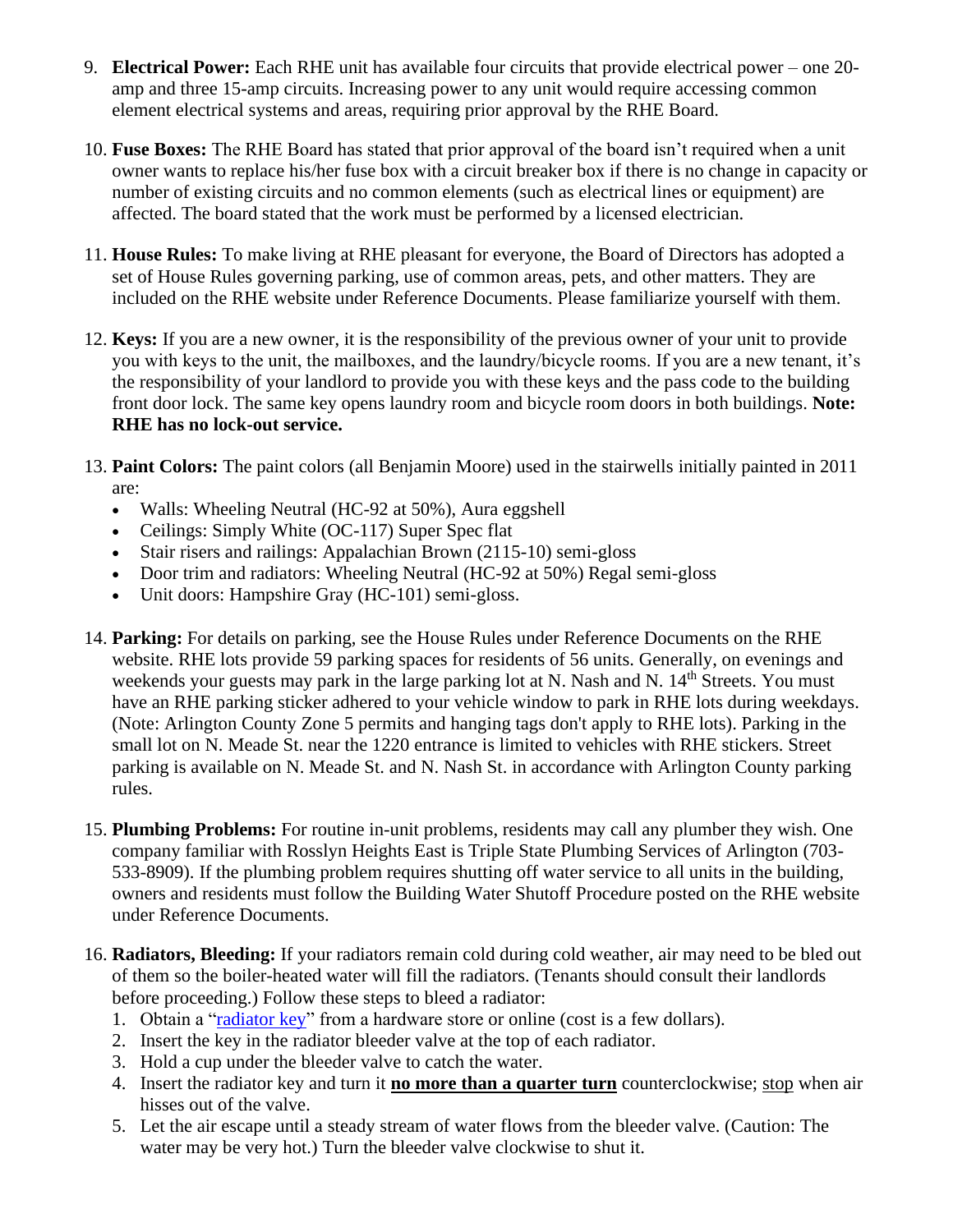- <span id="page-2-0"></span>9. **Electrical Power:** Each RHE unit has available four circuits that provide electrical power – one 20 amp and three 15-amp circuits. Increasing power to any unit would require accessing common element electrical systems and areas, requiring prior approval by the RHE Board.
- <span id="page-2-1"></span>10. **Fuse Boxes:** The RHE Board has stated that prior approval of the board isn't required when a unit owner wants to replace his/her fuse box with a circuit breaker box if there is no change in capacity or number of existing circuits and no common elements (such as electrical lines or equipment) are affected. The board stated that the work must be performed by a licensed electrician.
- <span id="page-2-2"></span>11. **House Rules:** To make living at RHE pleasant for everyone, the Board of Directors has adopted a set of House Rules governing parking, use of common areas, pets, and other matters. They are included on the RHE website under Reference Documents. Please familiarize yourself with them.
- <span id="page-2-3"></span>12. **Keys:** If you are a new owner, it is the responsibility of the previous owner of your unit to provide you with keys to the unit, the mailboxes, and the laundry/bicycle rooms. If you are a new tenant, it's the responsibility of your landlord to provide you with these keys and the pass code to the building front door lock. The same key opens laundry room and bicycle room doors in both buildings. **Note: RHE has no lock-out service.**
- <span id="page-2-4"></span>13. **Paint Colors:** The paint colors (all Benjamin Moore) used in the stairwells initially painted in 2011 are:
	- Walls: Wheeling Neutral (HC-92 at 50%), Aura eggshell
	- Ceilings: Simply White (OC-117) Super Spec flat
	- Stair risers and railings: Appalachian Brown (2115-10) semi-gloss
	- Door trim and radiators: Wheeling Neutral (HC-92 at 50%) Regal semi-gloss
	- Unit doors: Hampshire Gray (HC-101) semi-gloss.
- <span id="page-2-5"></span>14. **Parking:** For details on parking, see the House Rules under Reference Documents on the RHE website. RHE lots provide 59 parking spaces for residents of 56 units. Generally, on evenings and weekends your guests may park in the large parking lot at N. Nash and N. 14<sup>th</sup> Streets. You must have an RHE parking sticker adhered to your vehicle window to park in RHE lots during weekdays. (Note: Arlington County Zone 5 permits and hanging tags don't apply to RHE lots). Parking in the small lot on N. Meade St. near the 1220 entrance is limited to vehicles with RHE stickers. Street parking is available on N. Meade St. and N. Nash St. in accordance with Arlington County parking rules.
- <span id="page-2-6"></span>15. **Plumbing Problems:** For routine in-unit problems, residents may call any plumber they wish. One company familiar with Rosslyn Heights East is Triple State Plumbing Services of Arlington (703- 533-8909). If the plumbing problem requires shutting off water service to all units in the building, owners and residents must follow the Building Water Shutoff Procedure posted on the RHE website under Reference Documents.
- <span id="page-2-7"></span>16. **Radiators, Bleeding:** If your radiators remain cold during cold weather, air may need to be bled out of them so the boiler-heated water will fill the radiators. (Tenants should consult their landlords before proceeding.) Follow these steps to bleed a radiator:
	- 1. Obtain a ["radiator key"](https://www.amazon.com/Radiator-Bleed-Easigrip-Clock-Brass/dp/B007IW2PPG) from a hardware store or online (cost is a few dollars).
	- 2. Insert the key in the radiator bleeder valve at the top of each radiator.
	- 3. Hold a cup under the bleeder valve to catch the water.
	- 4. Insert the radiator key and turn it **no more than a quarter turn** counterclockwise; stop when air hisses out of the valve.
	- 5. Let the air escape until a steady stream of water flows from the bleeder valve. (Caution: The water may be very hot.) Turn the bleeder valve clockwise to shut it.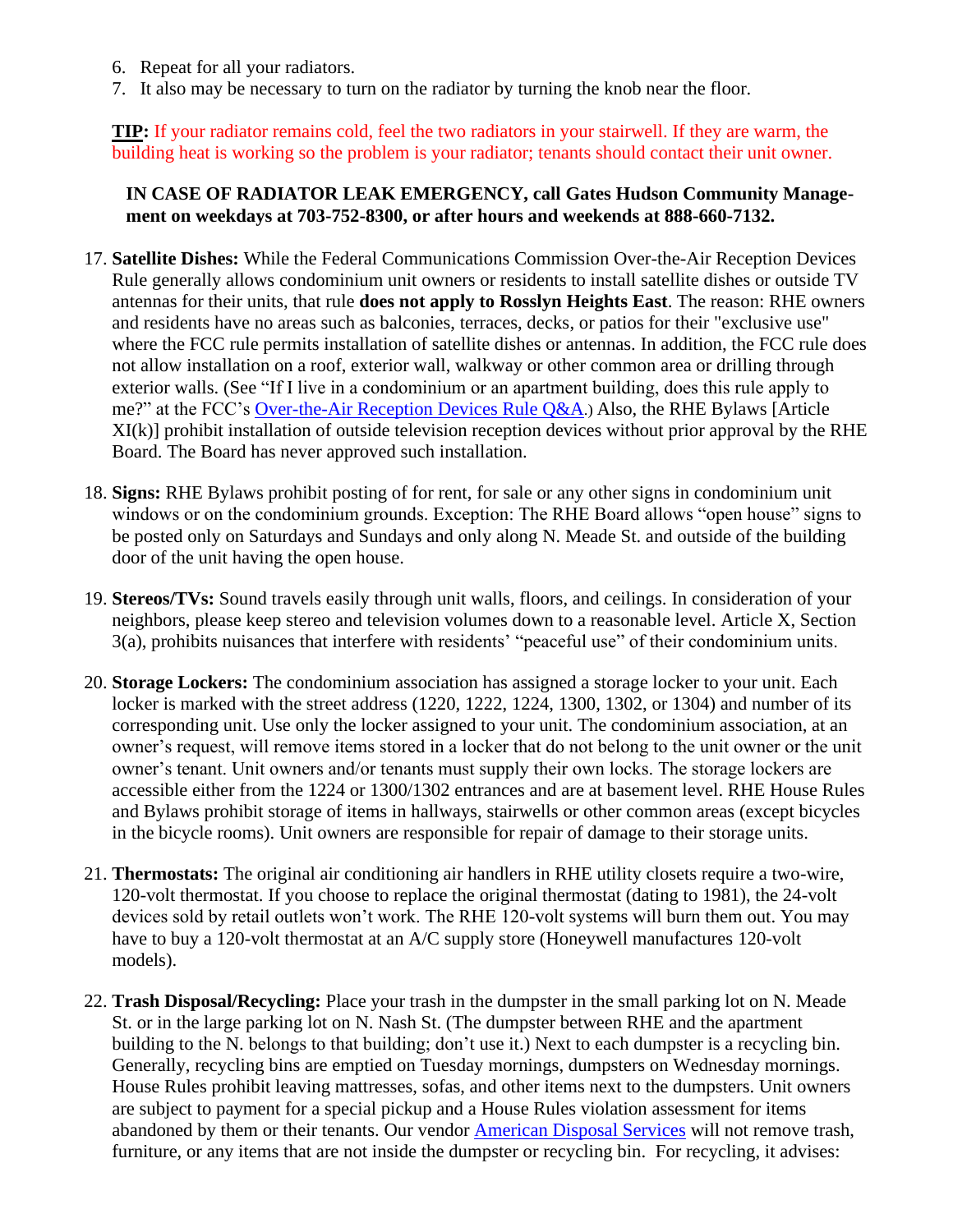- 6. Repeat for all your radiators.
- 7. It also may be necessary to turn on the radiator by turning the knob near the floor.

**TIP:** If your radiator remains cold, feel the two radiators in your stairwell. If they are warm, the building heat is working so the problem is your radiator; tenants should contact their unit owner.

### **IN CASE OF RADIATOR LEAK EMERGENCY, call Gates Hudson Community Management on weekdays at 703-752-8300, or after hours and weekends at 888-660-7132.**

- <span id="page-3-0"></span>17. **Satellite Dishes:** While the Federal Communications Commission Over-the-Air Reception Devices Rule generally allows condominium unit owners or residents to install satellite dishes or outside TV antennas for their units, that rule **does not apply to Rosslyn Heights East**. The reason: RHE owners and residents have no areas such as balconies, terraces, decks, or patios for their "exclusive use" where the FCC rule permits installation of satellite dishes or antennas. In addition, the FCC rule does not allow installation on a roof, exterior wall, walkway or other common area or drilling through exterior walls. (See "If I live in a condominium or an apartment building, does this rule apply to me?" at the FCC's [Over-the-Air Reception Devices Rule Q&A](https://www.fcc.gov/media/over-air-reception-devices-rule#QA).) Also, the RHE Bylaws [Article XI(k)] prohibit installation of outside television reception devices without prior approval by the RHE Board. The Board has never approved such installation.
- <span id="page-3-1"></span>18. **Signs:** RHE Bylaws prohibit posting of for rent, for sale or any other signs in condominium unit windows or on the condominium grounds. Exception: The RHE Board allows "open house" signs to be posted only on Saturdays and Sundays and only along N. Meade St. and outside of the building door of the unit having the open house.
- <span id="page-3-2"></span>19. **Stereos/TVs:** Sound travels easily through unit walls, floors, and ceilings. In consideration of your neighbors, please keep stereo and television volumes down to a reasonable level. Article X, Section 3(a), prohibits nuisances that interfere with residents' "peaceful use" of their condominium units.
- <span id="page-3-3"></span>20. **Storage Lockers:** The condominium association has assigned a storage locker to your unit. Each locker is marked with the street address (1220, 1222, 1224, 1300, 1302, or 1304) and number of its corresponding unit. Use only the locker assigned to your unit. The condominium association, at an owner's request, will remove items stored in a locker that do not belong to the unit owner or the unit owner's tenant. Unit owners and/or tenants must supply their own locks. The storage lockers are accessible either from the 1224 or 1300/1302 entrances and are at basement level. RHE House Rules and Bylaws prohibit storage of items in hallways, stairwells or other common areas (except bicycles in the bicycle rooms). Unit owners are responsible for repair of damage to their storage units.
- <span id="page-3-4"></span>21. **Thermostats:** The original air conditioning air handlers in RHE utility closets require a two-wire, 120-volt thermostat. If you choose to replace the original thermostat (dating to 1981), the 24-volt devices sold by retail outlets won't work. The RHE 120-volt systems will burn them out. You may have to buy a 120-volt thermostat at an A/C supply store (Honeywell manufactures 120-volt models).
- <span id="page-3-5"></span>22. **Trash Disposal/Recycling:** Place your trash in the dumpster in the small parking lot on N. Meade St. or in the large parking lot on N. Nash St. (The dumpster between RHE and the apartment building to the N. belongs to that building; don't use it.) Next to each dumpster is a recycling bin. Generally, recycling bins are emptied on Tuesday mornings, dumpsters on Wednesday mornings. House Rules prohibit leaving mattresses, sofas, and other items next to the dumpsters. Unit owners are subject to payment for a special pickup and a House Rules violation assessment for items abandoned by them or their tenants. Our vendor [American Disposal Services](https://www.americandisposal.com/recycling) will not remove trash, furniture, or any items that are not inside the dumpster or recycling bin. For recycling, it advises: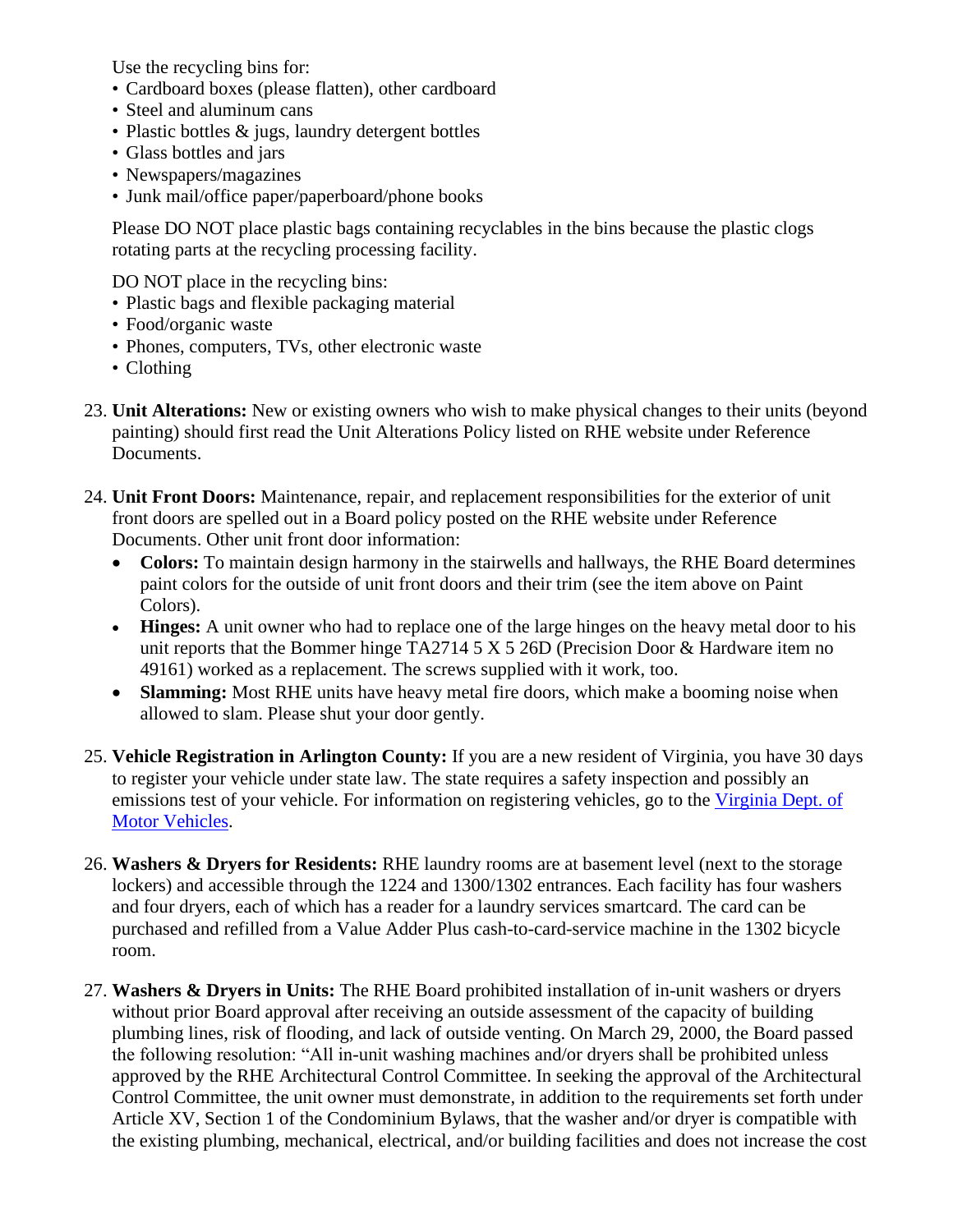Use the recycling bins for:

- Cardboard boxes (please flatten), other cardboard
- Steel and aluminum cans
- Plastic bottles & jugs, laundry detergent bottles
- Glass bottles and jars
- Newspapers/magazines
- Junk mail/office paper/paperboard/phone books

Please DO NOT place plastic bags containing recyclables in the bins because the plastic clogs rotating parts at the recycling processing facility.

DO NOT place in the recycling bins:

- Plastic bags and flexible packaging material
- Food/organic waste
- Phones, computers, TVs, other electronic waste
- Clothing
- <span id="page-4-0"></span>23. **Unit Alterations:** New or existing owners who wish to make physical changes to their units (beyond painting) should first read the Unit Alterations Policy listed on RHE website under Reference Documents.
- <span id="page-4-1"></span>24. **Unit Front Doors:** Maintenance, repair, and replacement responsibilities for the exterior of unit front doors are spelled out in a Board policy posted on the RHE website under Reference Documents. Other unit front door information:
	- **Colors:** To maintain design harmony in the stairwells and hallways, the RHE Board determines paint colors for the outside of unit front doors and their trim (see the item above on Paint Colors).
	- **Hinges:** A unit owner who had to replace one of the large hinges on the heavy metal door to his unit reports that the Bommer hinge TA2714 5 X 5 26D (Precision Door & Hardware item no 49161) worked as a replacement. The screws supplied with it work, too.
	- **Slamming:** Most RHE units have heavy metal fire doors, which make a booming noise when allowed to slam. Please shut your door gently.
- <span id="page-4-2"></span>25. **Vehicle Registration in Arlington County:** If you are a new resident of Virginia, you have 30 days to register your vehicle under state law. The state requires a safety inspection and possibly an emissions test of your vehicle. For information on registering vehicles, go to the [Virginia Dept. of](https://www.dmv.virginia.gov/#/)  [Motor Vehicles.](https://www.dmv.virginia.gov/#/)
- <span id="page-4-3"></span>26. **Washers & Dryers for Residents:** RHE laundry rooms are at basement level (next to the storage lockers) and accessible through the 1224 and 1300/1302 entrances. Each facility has four washers and four dryers, each of which has a reader for a laundry services smartcard. The card can be purchased and refilled from a Value Adder Plus cash-to-card-service machine in the 1302 bicycle room.
- <span id="page-4-4"></span>27. **Washers & Dryers in Units:** The RHE Board prohibited installation of in-unit washers or dryers without prior Board approval after receiving an outside assessment of the capacity of building plumbing lines, risk of flooding, and lack of outside venting. On March 29, 2000, the Board passed the following resolution: "All in-unit washing machines and/or dryers shall be prohibited unless approved by the RHE Architectural Control Committee. In seeking the approval of the Architectural Control Committee, the unit owner must demonstrate, in addition to the requirements set forth under Article XV, Section 1 of the Condominium Bylaws, that the washer and/or dryer is compatible with the existing plumbing, mechanical, electrical, and/or building facilities and does not increase the cost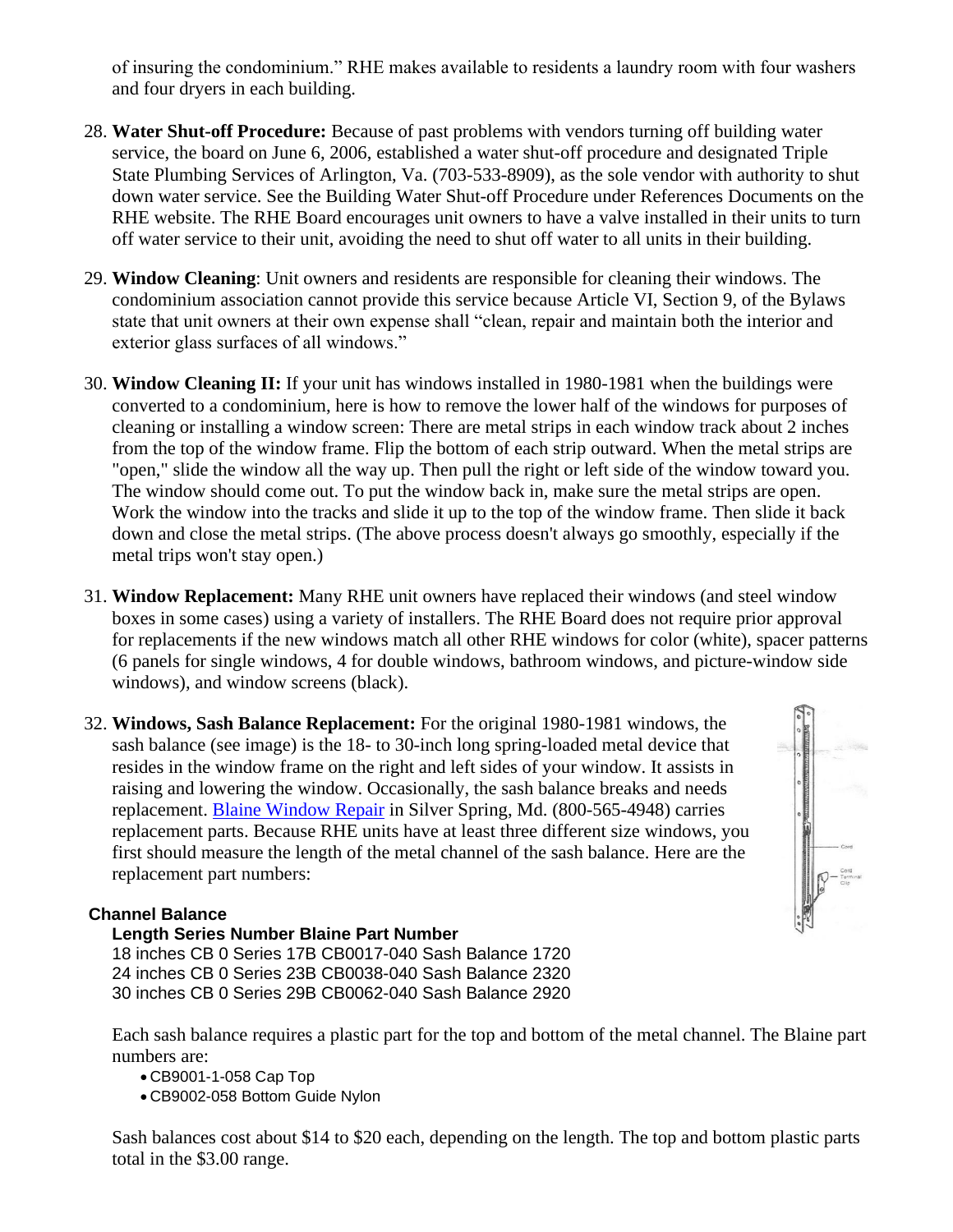of insuring the condominium." RHE makes available to residents a laundry room with four washers and four dryers in each building.

- <span id="page-5-0"></span>28. **Water Shut-off Procedure:** Because of past problems with vendors turning off building water service, the board on June 6, 2006, established a water shut-off procedure and designated Triple State Plumbing Services of Arlington, Va. (703-533-8909), as the sole vendor with authority to shut down water service. See the Building Water Shut-off Procedure under References Documents on the RHE website. The RHE Board encourages unit owners to have a valve installed in their units to turn off water service to their unit, avoiding the need to shut off water to all units in their building.
- <span id="page-5-1"></span>29. **Window Cleaning**: Unit owners and residents are responsible for cleaning their windows. The condominium association cannot provide this service because Article VI, Section 9, of the Bylaws state that unit owners at their own expense shall "clean, repair and maintain both the interior and exterior glass surfaces of all windows."
- <span id="page-5-2"></span>30. **Window Cleaning II:** If your unit has windows installed in 1980-1981 when the buildings were converted to a condominium, here is how to remove the lower half of the windows for purposes of cleaning or installing a window screen: There are metal strips in each window track about 2 inches from the top of the window frame. Flip the bottom of each strip outward. When the metal strips are "open," slide the window all the way up. Then pull the right or left side of the window toward you. The window should come out. To put the window back in, make sure the metal strips are open. Work the window into the tracks and slide it up to the top of the window frame. Then slide it back down and close the metal strips. (The above process doesn't always go smoothly, especially if the metal trips won't stay open.)
- <span id="page-5-3"></span>31. **Window Replacement:** Many RHE unit owners have replaced their windows (and steel window boxes in some cases) using a variety of installers. The RHE Board does not require prior approval for replacements if the new windows match all other RHE windows for color (white), spacer patterns (6 panels for single windows, 4 for double windows, bathroom windows, and picture-window side windows), and window screens (black).
- <span id="page-5-4"></span>32. **Windows, Sash Balance Replacement:** For the original 1980-1981 windows, the sash balance (see image) is the 18- to 30-inch long spring-loaded metal device that resides in the window frame on the right and left sides of your window. It assists in raising and lowering the window. Occasionally, the sash balance breaks and needs replacement. [Blaine Window Repair](http://www.blainewindowrepair.com/) in Silver Spring, Md. (800-565-4948) carries replacement parts. Because RHE units have at least three different size windows, you first should measure the length of the metal channel of the sash balance. Here are the replacement part numbers:

### **Channel Balance**

#### **Length Series Number Blaine Part Number**

18 inches CB 0 Series 17B CB0017-040 Sash Balance 1720 24 inches CB 0 Series 23B CB0038-040 Sash Balance 2320 30 inches CB 0 Series 29B CB0062-040 Sash Balance 2920

Each sash balance requires a plastic part for the top and bottom of the metal channel. The Blaine part numbers are:

- CB9001-1-058 Cap Top
- CB9002-058 Bottom Guide Nylon

Sash balances cost about \$14 to \$20 each, depending on the length. The top and bottom plastic parts total in the \$3.00 range.